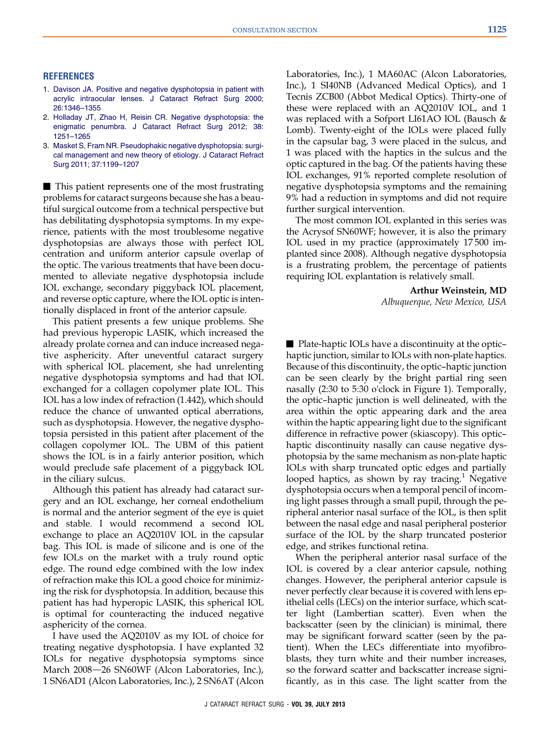## **REFERENCES**

- 1. [Davison JA. Positive and negative dysphotopsia in patient with](http://refhub.elsevier.com/S0886-3350(13)00533-6/JCRS8005.3_sref1) [acrylic intraocular lenses. J Cataract Refract Surg 2000;](http://refhub.elsevier.com/S0886-3350(13)00533-6/JCRS8005.3_sref1) [26:1346–1355](http://refhub.elsevier.com/S0886-3350(13)00533-6/JCRS8005.3_sref1)
- 2. [Holladay JT, Zhao H, Reisin CR. Negative dysphotopsia: the](http://refhub.elsevier.com/S0886-3350(13)00533-6/JCRS8005.3_sref2) [enigmatic penumbra. J Cataract Refract Surg 2012; 38:](http://refhub.elsevier.com/S0886-3350(13)00533-6/JCRS8005.3_sref2) [1251–1265](http://refhub.elsevier.com/S0886-3350(13)00533-6/JCRS8005.3_sref2)
- 3. [Masket S, Fram NR. Pseudophakic negative dysphotopsia: surgi](http://refhub.elsevier.com/S0886-3350(13)00533-6/JCRS8005.3_sref3)[cal management and new theory of etiology. J Cataract Refract](http://refhub.elsevier.com/S0886-3350(13)00533-6/JCRS8005.3_sref3) [Surg 2011; 37:1199–1207](http://refhub.elsevier.com/S0886-3350(13)00533-6/JCRS8005.3_sref3)

 $\blacksquare$  This patient represents one of the most frustrating problems for cataract surgeons because she has a beautiful surgical outcome from a technical perspective but has debilitating dysphotopsia symptoms. In my experience, patients with the most troublesome negative dysphotopsias are always those with perfect IOL centration and uniform anterior capsule overlap of the optic. The various treatments that have been documented to alleviate negative dysphotopsia include IOL exchange, secondary piggyback IOL placement, and reverse optic capture, where the IOL optic is intentionally displaced in front of the anterior capsule.

This patient presents a few unique problems. She had previous hyperopic LASIK, which increased the already prolate cornea and can induce increased negative asphericity. After uneventful cataract surgery with spherical IOL placement, she had unrelenting negative dysphotopsia symptoms and had that IOL exchanged for a collagen copolymer plate IOL. This IOL has a low index of refraction (1.442), which should reduce the chance of unwanted optical aberrations, such as dysphotopsia. However, the negative dysphotopsia persisted in this patient after placement of the collagen copolymer IOL. The UBM of this patient shows the IOL is in a fairly anterior position, which would preclude safe placement of a piggyback IOL in the ciliary sulcus.

Although this patient has already had cataract surgery and an IOL exchange, her corneal endothelium is normal and the anterior segment of the eye is quiet and stable. I would recommend a second IOL exchange to place an AQ2010V IOL in the capsular bag. This IOL is made of silicone and is one of the few IOLs on the market with a truly round optic edge. The round edge combined with the low index of refraction make this IOL a good choice for minimizing the risk for dysphotopsia. In addition, because this patient has had hyperopic LASIK, this spherical IOL is optimal for counteracting the induced negative asphericity of the cornea.

I have used the AQ2010V as my IOL of choice for treating negative dysphotopsia. I have explanted 32 IOLs for negative dysphotopsia symptoms since March 2008-26 SN60WF (Alcon Laboratories, Inc.), 1 SN6AD1 (Alcon Laboratories, Inc.), 2 SN6AT (Alcon

Laboratories, Inc.), 1 MA60AC (Alcon Laboratories, Inc.), 1 SI40NB (Advanced Medical Optics), and 1 Tecnis ZCB00 (Abbot Medical Optics). Thirty-one of these were replaced with an AQ2010V IOL, and 1 was replaced with a Sofport LI61AO IOL (Bausch & Lomb). Twenty-eight of the IOLs were placed fully in the capsular bag, 3 were placed in the sulcus, and 1 was placed with the haptics in the sulcus and the optic captured in the bag. Of the patients having these IOL exchanges, 91% reported complete resolution of negative dysphotopsia symptoms and the remaining 9% had a reduction in symptoms and did not require further surgical intervention.

The most common IOL explanted in this series was the Acrysof SN60WF; however, it is also the primary IOL used in my practice (approximately 17 500 implanted since 2008). Although negative dysphotopsia is a frustrating problem, the percentage of patients requiring IOL explantation is relatively small.

> Arthur Weinstein, MD Albuquerque, New Mexico, USA

■ Plate-haptic IOLs have a discontinuity at the optic– haptic junction, similar to IOLs with non-plate haptics. Because of this discontinuity, the optic–haptic junction can be seen clearly by the bright partial ring seen nasally (2:30 to 5:30 o'clock in Figure 1). Temporally, the optic–haptic junction is well delineated, with the area within the optic appearing dark and the area within the haptic appearing light due to the significant difference in refractive power (skiascopy). This optic– haptic discontinuity nasally can cause negative dysphotopsia by the same mechanism as non-plate haptic IOLs with sharp truncated optic edges and partially looped haptics, as shown by ray tracing.<sup>[1](#page-1-0)</sup> Negative dysphotopsia occurs when a temporal pencil of incoming light passes through a small pupil, through the peripheral anterior nasal surface of the IOL, is then split between the nasal edge and nasal peripheral posterior surface of the IOL by the sharp truncated posterior edge, and strikes functional retina.

When the peripheral anterior nasal surface of the IOL is covered by a clear anterior capsule, nothing changes. However, the peripheral anterior capsule is never perfectly clear because it is covered with lens epithelial cells (LECs) on the interior surface, which scatter light (Lambertian scatter). Even when the backscatter (seen by the clinician) is minimal, there may be significant forward scatter (seen by the patient). When the LECs differentiate into myofibroblasts, they turn white and their number increases, so the forward scatter and backscatter increase significantly, as in this case. The light scatter from the